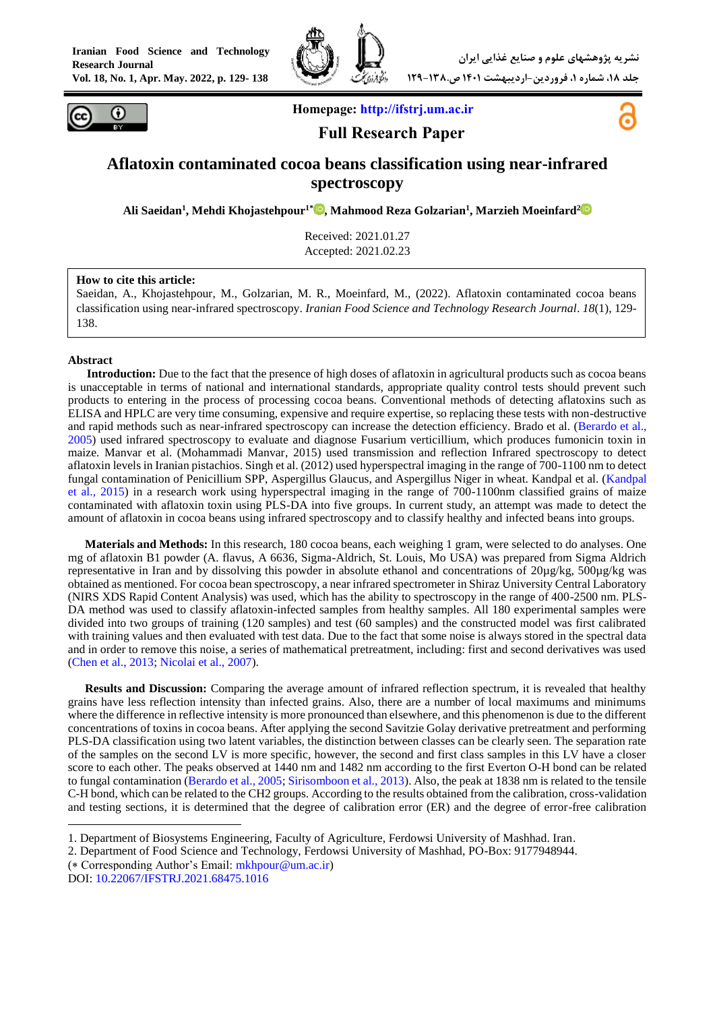



**Homepage: [http://ifstrj.um.ac.ir](http://ifstrj.um.ac.ir/)**

**Full Research Paper**



# **Aflatoxin contaminated cocoa beans classification using near-infrared spectroscopy**

**Ali Saeidan<sup>1</sup> , Mehdi Khojastehpour1[\\*](https://orcid.org/0000-0002-8107-9026) , Mahmood Reza Golzarian<sup>1</sup> , Marzieh Moeinfard<sup>2</sup>**

Received: 2021.01.27 Accepted: 2021.02.23

#### **How to cite this article:**

Saeidan, A., Khojastehpour, M., Golzarian, M. R., Moeinfard, M., (2022). Aflatoxin contaminated cocoa beans classification using near-infrared spectroscopy. *Iranian Food Science and Technology Research Journal*. *18*(1), 129- 138.

#### **Abstract**

**<sup>1</sup>Introduction:** Due to the fact that the presence of high doses of aflatoxin in agricultural products such as cocoa beans is unacceptable in terms of national and international standards, appropriate quality control tests should prevent such products to entering in the process of processing cocoa beans. Conventional methods of detecting aflatoxins such as ELISA and HPLC are very time consuming, expensive and require expertise, so replacing these tests with non-destructive and rapid methods such as near-infrared spectroscopy can increase the detection efficiency. Brado et al. [\(Berardo et al.,](#page-8-0)  [2005\)](#page-8-0) used infrared spectroscopy to evaluate and diagnose Fusarium verticillium, which produces fumonicin toxin in maize. Manvar et al. (Mohammadi Manvar, 2015) used transmission and reflection Infrared spectroscopy to detect aflatoxin levels in Iranian pistachios. Singh et al. (2012) used hyperspectral imaging in the range of 700-1100 nm to detect fungal contamination of Penicillium SPP, Aspergillus Glaucus, and Aspergillus Niger in wheat. Kandpal et al. [\(Kandpal](#page-9-0)  [et al., 2015\)](#page-9-0) in a research work using hyperspectral imaging in the range of 700-1100nm classified grains of maize contaminated with aflatoxin toxin using PLS-DA into five groups. In current study, an attempt was made to detect the amount of aflatoxin in cocoa beans using infrared spectroscopy and to classify healthy and infected beans into groups.

**Materials and Methods:** In this research, 180 cocoa beans, each weighing 1 gram, were selected to do analyses. One mg of aflatoxin B1 powder (A. flavus, A 6636, Sigma-Aldrich, St. Louis, Mo USA) was prepared from Sigma Aldrich representative in Iran and by dissolving this powder in absolute ethanol and concentrations of 20µg/kg, 500µg/kg was obtained as mentioned. For cocoa bean spectroscopy, a near infrared spectrometer in Shiraz University Central Laboratory (NIRS XDS Rapid Content Analysis) was used, which has the ability to spectroscopy in the range of 400-2500 nm. PLS-DA method was used to classify aflatoxin-infected samples from healthy samples. All 180 experimental samples were divided into two groups of training (120 samples) and test (60 samples) and the constructed model was first calibrated with training values and then evaluated with test data. Due to the fact that some noise is always stored in the spectral data and in order to remove this noise, a series of mathematical pretreatment, including: first and second derivatives was used [\(Chen et al., 2013;](#page-9-1) [Nicolai et al., 2007\)](#page-9-2).

**Results and Discussion:** Comparing the average amount of infrared reflection spectrum, it is revealed that healthy grains have less reflection intensity than infected grains. Also, there are a number of local maximums and minimums where the difference in reflective intensity is more pronounced than elsewhere, and this phenomenon is due to the different concentrations of toxins in cocoa beans. After applying the second Savitzie Golay derivative pretreatment and performing PLS-DA classification using two latent variables, the distinction between classes can be clearly seen. The separation rate of the samples on the second LV is more specific, however, the second and first class samples in this LV have a closer score to each other. The peaks observed at 1440 nm and 1482 nm according to the first Everton O-H bond can be related to fungal contamination [\(Berardo et al., 2005;](#page-8-0) [Sirisomboon et al., 2013\)](#page-9-3). Also, the peak at 1838 nm is related to the tensile C-H bond, which can be related to the CH2 groups. According to the results obtained from the calibration, cross-validation and testing sections, it is determined that the degree of calibration error (ER) and the degree of error-free calibration

**.** 

<sup>1.</sup> Department of Biosystems Engineering, Faculty of Agriculture, Ferdowsi University of Mashhad. Iran.

<sup>2.</sup> Department of Food Science and Technology, Ferdowsi University of Mashhad, PO-Box: 9177948944.

 $(*$  Corresponding Author's Email:  $mkhpour @um.ac.ir)$ 

DOI: [10.22067/IFSTRJ.2021.68475.1016](https://dx.doi.org/10.22067/ifstrj.2021.68475.1016)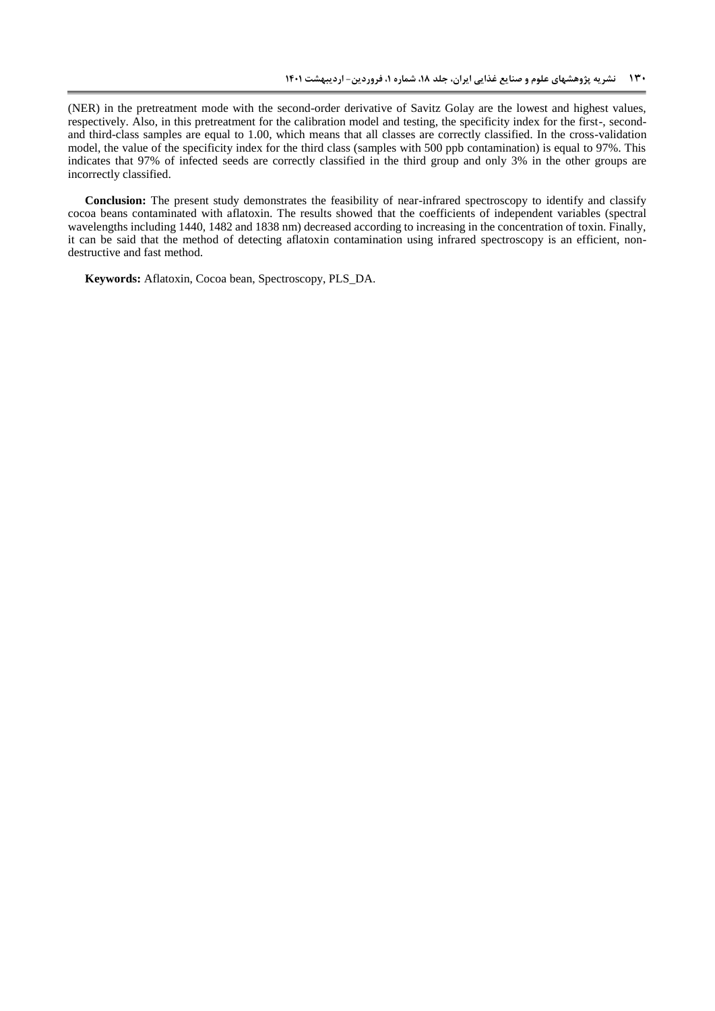(NER) in the pretreatment mode with the second-order derivative of Savitz Golay are the lowest and highest values, respectively. Also, in this pretreatment for the calibration model and testing, the specificity index for the first-, secondand third-class samples are equal to 1.00, which means that all classes are correctly classified. In the cross-validation model, the value of the specificity index for the third class (samples with 500 ppb contamination) is equal to 97%. This indicates that 97% of infected seeds are correctly classified in the third group and only 3% in the other groups are incorrectly classified.

**Conclusion:** The present study demonstrates the feasibility of near-infrared spectroscopy to identify and classify cocoa beans contaminated with aflatoxin. The results showed that the coefficients of independent variables (spectral wavelengths including 1440, 1482 and 1838 nm) decreased according to increasing in the concentration of toxin. Finally, it can be said that the method of detecting aflatoxin contamination using infrared spectroscopy is an efficient, nondestructive and fast method.

**Keywords:** Aflatoxin, Cocoa bean, Spectroscopy, PLS\_DA.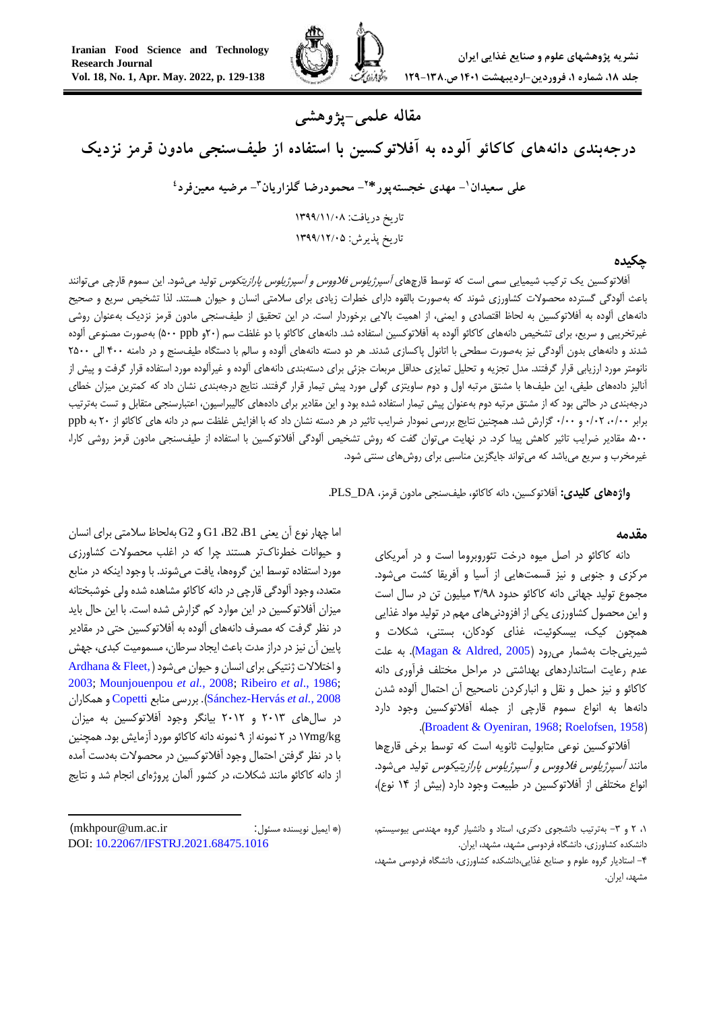

# **مقاله علمی-پژوهشی**

**درجهبندی دانههای کاکائو آلوده به آفالتوکسین با استفاده از طیفسنجی مادون قرمز نزدیک**

**- مهدی خجستهپور\* <sup>1</sup> علی سعیدان - محمودرضا گلزاریان <sup>2</sup> 3 - مرضیه معینفرد 4** تاریخ دریافت: 1911/11/80 تاریخ پذیرش: 1911/11/80

## **چکیده**

آفالتوکسین یک ترکیب شیمیایی سمی است که توسط قارچهای آسپرژیلوس فالووس <sup>و</sup> آسپرژیلوس پارازیتکوس تولید میشود. این سموم قارچی میتوانند باعث آلودگی گسترده محصوالت کشاورزی شوند که بهصورت بالقوه دارای خطرات زیادی برای سالمتی انسان و حیوان هستند. لذا تشخیص سریع و صحیح دانههای آلوده به آفالتوکسین به لحاظ اقتصادی و ایمنی، از اهمیت باالیی برخوردار است. در این تحقیق از طیفسنجی مادون قرمز نزدیک بهعنوان روشی غیرتخریبی و سریع، برای تشخیص دانههای کاکائو آلوده به آفالتوکسین استفاده شد. دانههای کاکائو با دو غلظت سم )02و ppb 022 )بهصورت مصنوعی آلوده شدند و دانههای بدون آلودگی نیز بهصورت سطحی با اتانول پاکسازی شدند. هر دو دسته دانههای آلوده و سالم با دستگاه طیفسنج و در دامنه 022 الی 0022 نانومتر مورد ارزیابی قرار گرفتند. مدل تجزیه و تحلیل تمایزی حداقل مربعات جزئی برای دستهبندی دانههای آلوده و غیرآلوده مورد استفاده قرار گرفت و پیش از آنالیز دادههای طیفی، این طیفها با مشتق مرتبه اول و دوم ساویتزی گولی مورد پیش تیمار قرار گرفتند. نتایج درجهبندی نشان داد که کمترین میزان خطای درجهبندی در حالتی بود که از مشتق مرتبه دوم بهعنوان پیش تیمار استفاده شده بود و این مقادیر برای دادههای کالیبراسیون، اعتبارسنجی متقابل و تست بهترتیب برابر ،2/22 2/20 و 2/22 گزارش شد. همچنین نتایج بررسی نمودار ضرایب تاثیر در هر دسته نشان داد که با افزایش غلظت سم در دانه های کاکائو از 02 به ppb ،022 مقادیر ضرایب تاثیر کاهش پیدا کرد. در نهایت میتوان گفت که روش تشخیص آلودگی آفالتوکسین با استفاده از طیفسنجی مادون قرمز روشی کارا، غیرمخرب و سریع میباشد که میتواند جایگزین مناسبی برای روشهای سنتی شود.

**واژههای کلیدی:** آفالتوکسین، دانه کاکائو، طیفسنجی مادون قرمز، DA\_PLS.

### **مقدمه**

دانه کاکائو در اصل میوه درخت تئوروبروما است و در آمریکای مرکزی و جنوبی و نیز قسمتهایی از آسیا و آفریقا کشت میشود. مجموع تولید جهانی دانه کاکائو حدود 3/89 میلیون تن در سال است و این محصول کشاورزی یکی از افزودنیهای مهم در تولید مواد غذایی همچون کیک، بیسکوئیت، غذای کودکان، بستنی، شکالت و شیرینی جات بهشمار می رود (Magan & Aldred, 2005). به علت عدم رعایت استانداردهای بهداشتی در مراحل مختلف فرآوری دانه کاکائو و نیز حمل و نقل و انبارکردن ناصحیح آن احتمال آلوده شدن دانهها به انواع سموم قارچی از جمله آفالتوکسین وجود دارد .([Broadent & Oyeniran, 1968;](#page-8-1) [Roelofsen, 1958](#page-9-5))

آفالتوکسین نوعی متابولیت ثانویه است که توسط برخی قارچها مانند *آسپرژیلوس فلاووس و آسپرژیلوس پارازیتیکوس* تولید میشود. انواع مختلفی از آفالتوکسین در طبیعت وجود دارد )بیش از 40 نوع(،

اما چهار نوع آن یعنی 1B، 2B، 1G و 2G بهلحاظ سالمتی برای انسان و حیوانات خطرناکتر هستند چرا که در اغلب محصوالت کشاورزی مورد استفاده توسط این گروهها، یافت میشوند. با وجود اینکه در منابع متعدد، وجود آلودگی قارچی در دانه کاکائو مشاهده شده ولی خوشبختانه میزان آفالتوکسین در این موارد کم گزارش شده است. با این حال باید در نظر گرفت که مصرف دانههای آلوده به آفالتوکسین حتی در مقادیر پایین آن نیز در دراز مدت باعث ایجاد سرطان، مسمومیت کبدی، جهش و اختلالات ژنتیکی برای انسان و حیوان میشود (,Ardhana & Fleet [2003;](#page-8-2) [Mounjouenpou](#page-9-6) *et al.*, 2008; [Ribeiro](#page-9-7) *et al*., 1986; همکاران و [Copetti](#page-9-9) مناب[ع](#page-9-9) بررسی .([Sánchez-Hervás](#page-9-8) *et al.*, 2008 در سالهای 0243 و 0240 بیانگر وجود آفالتوکسین به میزان kg/mg41 در 0 نمونه از 8 نمونه دانه کاکائو مورد آزمایش بود.همچنین با در نظر گرفتن احتمال وجود آفالتوکسین در محصوالت بهدست آمده از دانه کاکائو مانند شکالت، در کشور آلمان پروژهای انجام شد و نتایج

-

<sup>،4 0</sup> و -3 بهترتیب دانشجوی دکتری، استاد و دانشیار گروه مهندسی بیوسیستم، دانشکده کشاورزی، دانشگاه فردوسی مشهد، مشهد، ایران.

<sup>-0</sup> استادیار گروه علوم و صنایع غذایی،دانشکده کشاورزی، دانشگاه فردوسی مشهد، مشهد، ایران.

<sup>)</sup>mkhpour@um.ac.ir :مسئول نویسنده ایمیل)\* DOI: [10.22067/IFSTRJ.2021.68475.1016](https://dx.doi.org/10.22067/ifstrj.2021.68475.1016)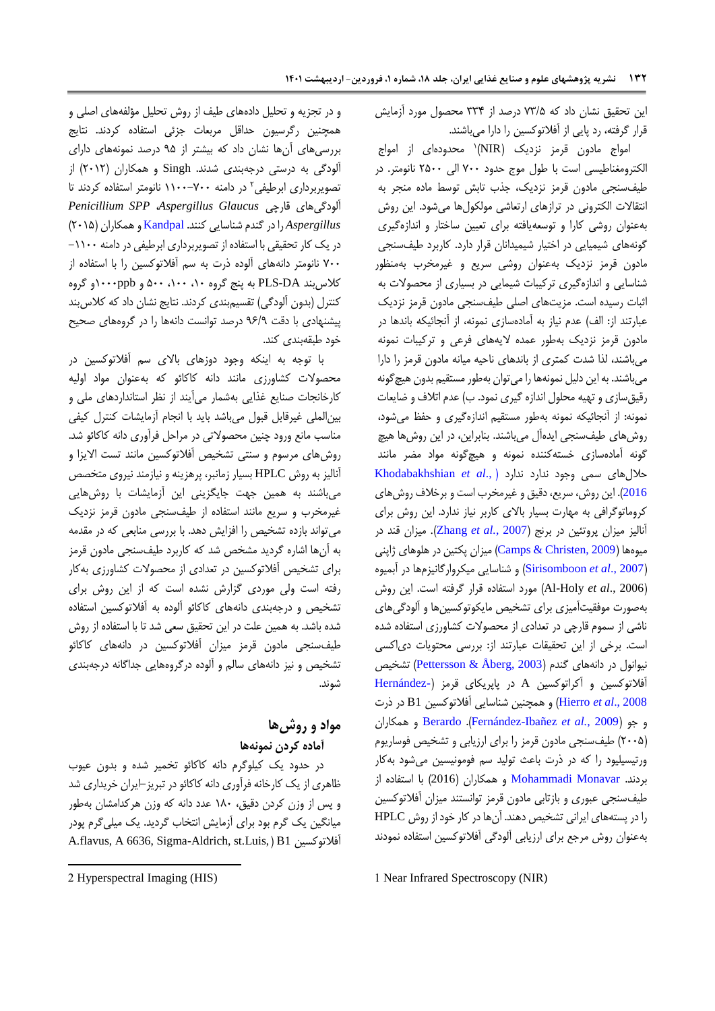این تحقیق نشان داد که 13/0 درصد از 330 محصول مورد آزمایش قرار گرفته، رد پایی از آفالتوکسین را دارا میباشند.

امواج مادون قرمز نزدیک (NIR)<sup>۱</sup> محدودهای از امواج الکترومغناطیسی است با طول موج حدود 122 الی 0022 نانومتر. در طیفسنجی مادون قرمز نزدیک، جذب تابش توسط ماده منجر به انتقاالت الکترونی در ترازهای ارتعاشی مولکولها میشود. این روش بهعنوان روشی کارا و توسعهیافته برای تعیین ساختار و اندازهگیری گونههای شیمیایی در اختیار شیمیدانان قرار دارد. کاربرد طیفسنجی مادون قرمز نزدیک بهعنوان روشی سریع و غیرمخرب بهمنظور شناسایی و اندازهگیری ترکیبات شیمایی در بسیاری از محصوالت به اثبات رسیده است. مزیتهای اصلی طیفسنجی مادون قرمز نزدیک عبارتند از: الف) عدم نیاز به آمادهسازی نمونه، از آنجائیکه باندها در مادون قرمز نزدیک بهطور عمده الیههای فرعی و ترکیبات نمونه میباشند، لذا شدت کمتری از باندهای ناحیه میانه مادون قرمز را دارا میباشند. بهاین دلیل نمونهها را میتوان بهطور مستقیم بدون هیچگونه رقیق سازی و تهیه محلول اندازه گیری نمود. ب) عدم اتلاف و ضایعات نمونه: از آنجائیکه نمونه بهطور مستقیم اندازهگیری و حفظ میشود، روشهای طیفسنجی ایدهآل میباشند. بنابراین، در این روشها هیچ گونه آمادهسازی خستهکننده نمونه و هیچگونه مواد مضر مانند حاللهای سمی وجود ندارد ندارد ) .,*al et* [Khodabakhshian](#page-9-10) [2016](#page-9-10)(. این روش، سریع، دقیق و غیرمخرب است و برخالف روشهای کروماتوگرافی به مهارت بسیار باالی کاربر نیاز ندارد. این روش برای آنالیز میزان پروتئین در برنج )2007 *.*,*al et* [Zhang](#page-9-11)). میزان قند در میوهها )[2009 ,Christen & Camps](#page-8-3) )میزان پکتین در هلوهای ژاپنی )2007 .,*al et* [Sirisomboon](#page-9-12) )و شناسایی میکروارگانیزمها در آبمیوه )2006 .,*al et* Holy-Al )مورد استفاده قرار گرفته است. این روش بهصورت موفقیتآمیزی برای تشخیص مایکوتوکسینها و آلودگیهای ناشی از سموم قارچی در تعدادی از محصوالت کشاورزی استفاده شده است. برخی از این تحقیقات عبارتند از: بررسی محتویات دیاکسی نیوانول در دانههای گندم (Pettersson & Åberg, 2003) تشخیص آفالتوکسین و آکراتوکسین A در پاپریکای قرمز [\)](#page-9-14)[-Hernández](#page-9-14) [2008 .,](#page-9-14)*al et* Hierro )و همچنین شناسایی آفالتوکسین 1B در ذرت همکاران و [Berardo](#page-8-0) .)[Fernández-Ibañez](#page-9-15) *et al.*, 2009( جو و )0220( طیفسنجی مادون قرمز را برای ارزیابی و تشخیص فوساریوم ورتیسیلیود را که در ذرت باعث تولید سم فومونیسین میشود بهکار بردند. [Monavar Mohammadi](#page-9-16) و همکاران )2016( با استفاده از طیفسنجی عبوری و بازتابی مادون قرمز توانستند میزان آفالتوکسین را در پستههای ایرانی تشخیص دهند. آنها در کار خود از روش HPLC بهعنوان روش مرجع برای ارزیابی آلودگی آفالتوکسین استفاده نمودند

1 Near Infrared Spectroscopy (NIR)

و در تجزیه و تحلیل دادههای طیف از روش تحلیل مؤلفههای اصلی و همچنین رگرسیون حداقل مربعات جزئی استفاده کردند. نتایج بررسیهای آنها نشان داد که بیشتر از 80 درصد نمونههای دارای آلودگی به درستی درجهبندی شدند. Singh و همکاران )0240( از تصویربرداری ابرطیفی<sup>۲</sup> در دامنه ۷۰۰–۱۱۰۰ نانومتر استفاده کردند تا *Penicillium SPP* ،*Aspergillus Glaucus* قارچی آلودگیهای *Aspergillus* را در گندم شناسایی کنند. [Kandpal](#page-9-0) و همکاران )0240( در یک کار تحقیقی با استفاده از تصویربرداری ابرطیفی در دامنه -4422 122 نانومتر دانههای آلوده ذرت به سم آفالتوکسین را با استفاده از کالسبند DA-PLS به پنج گروه ،42 ،422 022 و ppb4222و گروه کنترل (بدون آلودگی) تقسیمبندی کردند. نتایج نشان داد که کلاس بند پیشنهادی با دقت 89/8 درصد توانست دانهها را در گروههای صحیح خود طبقهبندی کند.

با توجه به اینکه وجود دوزهای باالی سم آفالتوکسین در محصوالت کشاورزی مانند دانه کاکائو که بهعنوان مواد اولیه کارخانجات صنایع غذایی بهشمار میآیند از نظر استانداردهای ملی و بینالملی غیرقابل قبول میباشد باید با انجام آزمایشات کنترل کیفی مناسب مانع ورود چنین محصوالتی در مراحل فرآوری دانه کاکائو شد. روشهای مرسوم و سنتی تشخیص آفالتوکسین مانند تست االیزا و آنالیز به روش HPLC بسیار زمانبر، پرهزینه و نیازمند نیروی متخصص میباشند به همین جهت جایگزینی این آزمایشات با روشهایی غیرمخرب و سریع مانند استفاده از طیفسنجی مادون قرمز نزدیک میتواند بازده تشخیص را افزایش دهد. با بررسی منابعی که در مقدمه به آنها اشاره گردید مشخص شد که کاربرد طیفسنجی مادون قرمز برای تشخیص آفالتوکسین در تعدادی از محصوالت کشاورزی بهکار رفته است ولی موردی گزارش نشده است که از این روش برای تشخیص و درجهبندی دانههای کاکائو آلوده به آفالتوکسین استفاده شده باشد. به همین علت در این تحقیق سعی شد تا با استفاده از روش طیفسنجی مادون قرمز میزان آفالتوکسین در دانههای کاکائو تشخیص و نیز دانههای سالم و آلوده درگروههایی جداگانه درجهبندی شوند.

# **مواد و روشها آماده کردن نمونهها**

در حدود یک کیلوگرم دانه کاکائو تخمیر شده و بدون عیوب ظاهری از یک کارخانه فرآوری دانه کاکائو در تبریز-ایران خریداری شد و پس از وزن کردن دقیق، 492 عدد دانه که وزن هرکدامشان بهطور میانگین یک گرم بود برای آزمایش انتخاب گردید. یک میلیگرم پودر A.flavus, A 6636, Sigma-Aldrich, st.Luis, ( B1 آفالتوکسین

1

<sup>2</sup> Hyperspectral Imaging (HIS)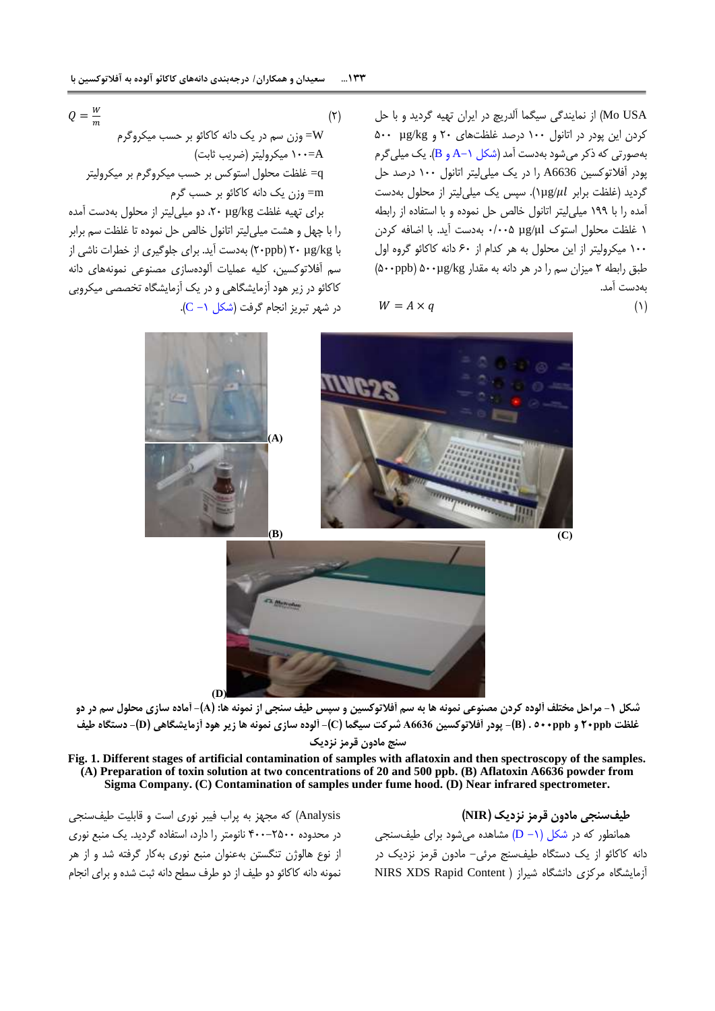USA Mo )از نمایندگی سیگما آلدریچ در ایران تهیه گردید و با حل کردن این پودر در اتانول 422 درصد غلظتهای 02 و kg/µg 022 بهصورتی که ذکر میشود بهدست آمد (شکل ۱−A و B). یک میلی گرم پودر آفالتوکسین 6636A را در یک میلیلیتر اتانول 422 درصد حل گردید )غلظت برابر /µg4). سپس یک میلیلیتر از محلول بهدست آمده را با 488 میلیلیتر اتانول خالص حل نموده و با استفاده از رابطه 4 غلظت محلول استوک μl/µg 2/220 بهدست آید. با اضافه کردن 422 میکرولیتر از این محلول به هر کدام از 92 دانه کاکائو گروه اول طبق رابطه 0 میزان سم را در هر دانه به مقدار kg/µg022( ppb022 ) بهدست آمد.

$$
W = A \times q \tag{1}
$$

(۲)  
\n
$$
Q = \frac{W}{m}
$$
  
\n= وزن سم در یک دانه کاکائو بر حسب میکروگرم  
\n= غلظت محلول استوکس بر حسب میکروگرم بر میکرولیتر  
\n= غلظت محلول استوکس بر حسب میکروگرم بر میکرولیتر  
\n=m

برای تهیه غلظت kg/µg ،02 دو میلیلیتر از محلول بهدست آمده را با چهل و هشت میلیلیتر اتانول خالص حل نموده تا غلظت سم برابر با kg/µg 02( ppb02 )بهدست آید. برای جلوگیری از خطرات ناشی از سم آفالتوکسین، کلیه عملیات آلودهسازی مصنوعی نمونههای دانه کاکائو در زیر هود آزمایشگاهی و در یک آزمایشگاه تخصصی میکروبی  $(C - 1, 1)$ در شهر تبریز انجام گرفت (شکل



شکل ۱- مراحل مختلف آلوده کردن مصنوعی نمونه ها به سم آفلاتوکسین و سپس طیف سنجی از نمونه ها: (A)- آماده سازی محلول سم در دو غلظت ۲۰ppb و P> ۰۵۰۰ppb)- پودر آفلاتوکسین A6636 شرکت سیگما (C)- آلوده سازی نمونه ها زیر هود آزمایشگاهی (D)- دستگاه طیف **سنج مادون قرمز نزدیک**

**Fig. 1. Different stages of artificial contamination of samples with aflatoxin and then spectroscopy of the samples. (A) Preparation of toxin solution at two concentrations of 20 and 500 ppb. (B) Aflatoxin A6636 powder from Sigma Company. (C) Contamination of samples under fume hood. (D) Near infrared spectrometer.**

Analysis )که مجهز به پراب فیبر نوری است و قابلیت طیفسنجی در محدوده 022-0022 نانومتر را دارد، استفاده گردید. یک منبع نوری از نوع هالوژن تنگستن بهعنوان منبع نوری بهکار گرفته شد و از هر نمونه دانه کاکائو دو طیف از دو طرف سطح دانه ثبت شده و برای انجام

<span id="page-4-0"></span>**طیفسنجی مادون قرمز نزدیک )NIR)** همانطور که در شکل (۱− D) مشاهده میشود برای طیفسنجی دانه کاکائو از یک دستگاه طیفسنج مرئی- مادون قرمز نزدیک در آزمایشگاه مرکزی دانشگاه شیراز ( NIRS XDS Rapid Content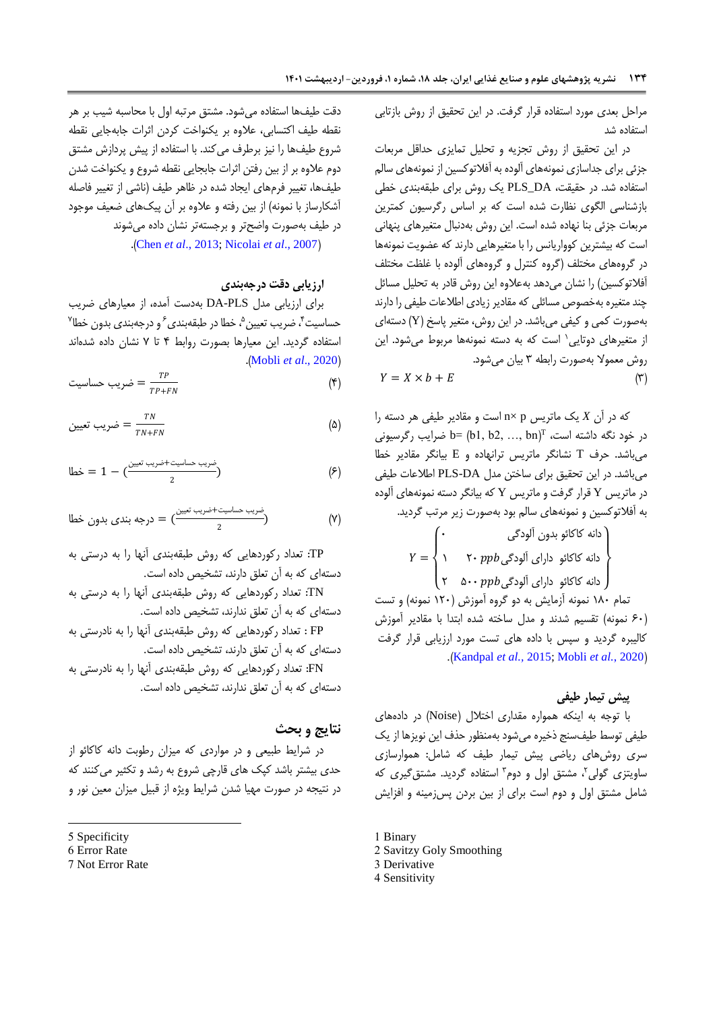مراحل بعدی مورد استفاده قرار گرفت. در این تحقیق از روش بازتابی استفاده شد

در این تحقیق از روش تجزیه و تحلیل تمایزی حداقل مربعات جزئی برای جداسازی نمونههای آلوده به آفالتوکسین از نمونههای سالم استفاده شد. در حقیقت، DA\_PLS یک روش برای طبقهبندی خطی بازشناسی الگوی نظارت شده است که بر اساس رگرسیون کمترین مربعات جزئی بنا نهاده شده است. این روش بهدنبال متغیرهای پنهانی است که بیشترین کوواریانس را با متغیرهایی دارند که عضویت نمونهها در گروههای مختلف )گروه کنترل و گروههای آلوده با غلظت مختلف آفلاتوکسین) را نشان میدهد بهعلاوه این روش قادر به تحلیل مسائل چند متغیره بهخصوص مسائلی که مقادیر زیادی اطالعات طیفی را دارند بهصورت کمی و کیفی میباشد. در این روش، متغیر پاسخ )Y )دستهای ز متغیرهای دوتایی<sup>٬</sup> است که به دسته نمونهها مربوط میشود. این روش معموال بهصورت رابطه 3 بیان میشود.

$$
Y = X \times b + E \tag{7}
$$

که در آن *X* یک ماتریس p× n است و مقادیر طیفی هر دسته را  $\mathbf{b} = (\mathbf{b}_1, \, \mathbf{b}_2, \, ... \, \mathbf{b}_T)^\text{T}$  نصرایب رگرسیونی میباشد. حرف T نشانگر ماتریس ترانهاده و E بیانگر مقادیر خطا میباشد. در این تحقیق برای ساختن مدل DA-PLS اطالعات طیفی در ماتریس Y قرار گرفت و ماتریس Y که بیانگر دسته نمونههای آلوده به آفالتوکسین و نمونههای سالم بود بهصورت زیر مرتب گردید.

دانه کاکئو بدون آلودگی  
\n۲۰ ۲۰ 
$$
Y = \begin{cases} \cdot & \cdot & \text{if } \mathcal{N} = \mathcal{N} \text{ and } \mathcal{N} = \mathcal{N} \text{ and } \mathcal{N} = \mathcal{N} \text{ and } \mathcal{N} = \mathcal{N} \text{ and } \mathcal{N} = \mathcal{N} \text{ and } \mathcal{N} = \mathcal{N} \text{ and } \mathcal{N} = \mathcal{N} \text{ and } \mathcal{N} = \mathcal{N} \text{ and } \mathcal{N} = \mathcal{N} \text{ and } \mathcal{N} = \mathcal{N} \text{ and } \mathcal{N} = \mathcal{N} \text{ and } \mathcal{N} = \mathcal{N} \text{ and } \mathcal{N} = \mathcal{N} \text{ and } \mathcal{N} = \mathcal{N} \text{ and } \mathcal{N} = \mathcal{N} \text{ and } \mathcal{N} = \mathcal{N} \text{ and } \mathcal{N} = \mathcal{N} \text{ and } \mathcal{N} = \mathcal{N} \text{ and } \mathcal{N} = \mathcal{N} \text{ and } \mathcal{N} = \mathcal{N} \text{ and } \mathcal{N} = \mathcal{N} \text{ and } \mathcal{N} = \mathcal{N} \text{ and } \mathcal{N} = \mathcal{N} \text{ and } \mathcal{N} = \mathcal{N} \text{ and } \mathcal{N} = \mathcal{N} \text{ and } \mathcal{N} = \mathcal{N} \text{ and } \mathcal{N} = \mathcal{N} \text{ and } \mathcal{N} = \mathcal{N} \text{ and } \mathcal{N} = \mathcal{N} \text{ and } \mathcal{N} = \mathcal{N} \text{ and } \mathcal{N} = \mathcal{N} \text{ and } \mathcal{N} = \mathcal{N} \text{ and } \mathcal{N} = \mathcal{N} \text{ and } \mathcal{N} = \mathcal{N} \text{ and } \mathcal{N} = \mathcal{N} \text{ and } \mathcal{N} = \mathcal{N} \text{ and } \mathcal{N} = \mathcal{N} \text{ and } \mathcal{N} = \mathcal{N} \text{ and } \mathcal{N} = \mathcal{N} \text{ and } \mathcal{N} = \mathcal
$$

تمام ۱۸۰ نمونه آزمایش به دو گروه آموزش (۱۲۰ نمونه) و تست )92 نمونه( تقسیم شدند و مدل ساخته شده ابتدا با مقادیر آموزش کالیبره گردید و سپس با داده های تست مورد ارزیابی قرار گرفت .)[Kandpal](#page-9-0) *et al.,* 2015; [Mobli](#page-9-17) *et al.*, 202[0](#page-9-0)(

## **پیش تیمار طیفی**

با توجه به اینکه همواره مقداری اختالل )Noise )در دادههای طیفی توسط طیفسنج ذخیره میشود بهمنظور حذف این نویزها از یک سری روشهای ریاضی پیش تیمار طیف که شامل: هموارسازی ساویتزی گولی'، مشتق اول و دوم ؓ استفاده گردید. مشتق گیری که شامل مشتق اول و دوم است برای از بین بردن پسزمینه و افزایش

1 Binary 2 Savitzy Goly Smoothing 3 Derivative

4 Sensitivity

دقت طیفها استفاده میشود. مشتق مرتبه اول با محاسبه شیب بر هر نقطه طیف اکتسابی، عالوه بر یکنواخت کردن اثرات جابهجایی نقطه شروع طیفها را نیز برطرف میکند. با استفاده از پیش پردازش مشتق دوم عالوه بر از بین رفتن اثرات جابجایی نقطه شروع و یکنواخت شدن طیفها، تغییر فرمهای ایجاد شده در ظاهر طیف )ناشی از تغییر فاصله آشکارساز با نمونه) از بین رفته و علاوه بر آن پیکهای ضعیف موجود در طیف بهصورت واضحتر و برجستهتر نشان داده میشوند

.)Chen *et al*[., 2013;](#page-9-1) [Nicolai](#page-9-2) *et al*., 200[7](#page-9-1)(

### **ارزیابی دقت درجهبندی**

برای ارزیابی مدل PLS-DA بهدست آمده، از معیارهای ضریب حساسیت <sup>۴</sup>، ضریب تعیین <sup>۵</sup>، خطا در طبقهبندی <sup>۶</sup> و درجهبندی بدون خطا<sup>۷</sup> استفاده گردید. این معیارها بصورت روابط 0 تا 1 نشان داده شدهاند .(Mobli *et al.*, 2020)

$$
\text{w} = \frac{TP}{TP + FN} \tag{9}
$$

$$
\sum_{TN} = \frac{TN}{TN + FN} \tag{A}
$$

$$
= 1 - \left(\frac{\frac{1}{2} + \frac{1}{2} + \frac{1}{2} + \frac{1}{2}}{2}\right) \tag{5}
$$

(۲) 
$$
= \frac{c^{\frac{1}{2}}}{2}
$$

TP: تعداد رکوردهایی که روش طبقهبندی آنها را به درستی به دستهای که به آن تعلق دارند، تشخیص داده است.

TN: تعداد رکوردهایی که روش طبقهبندی آنها را به درستی به دستهای که به آن تعلق ندارند، تشخیص داده است.

FP : تعداد رکوردهایی که روش طبقهبندی آنها را به نادرستی به دستهای که به آن تعلق دارند، تشخیص داده است.

FN: تعداد رکوردهایی که روش طبقهبندی آنها را به نادرستی به دستهای که به آن تعلق ندارند، تشخیص داده است.

### **نتایج و بحث**

در شرایط طبیعی و در مواردی که میزان رطوبت دانه کاکائو از حدی بیشتر باشد کپک های قارچی شروع به رشد و تکثیر میکنند که در نتیجه در صورت مهیا شدن شرایط ویژه از قبیل میزان معین نور و

1

7 Not Error Rate

<sup>5</sup> Specificity

<sup>6</sup> Error Rate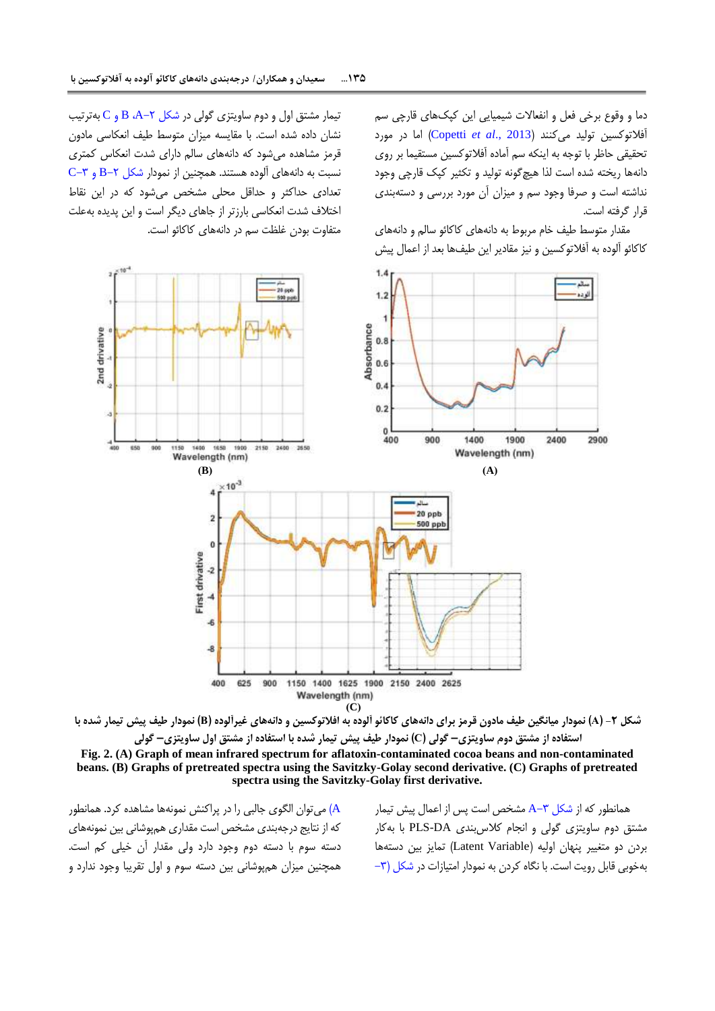دما و وقوع برخی فعل و انفعاالت شیمیایی این کپکهای قارچی سم آفالتوکسین تولید میکنند )2013 .,*al et* [Copetti](#page-9-18) )اما در مورد تحقیقی حاظر با توجه به اینکه سم آماده آفالتوکسین مستقیما بر روی دانهها ریخته شده است لذا هیچگونه تولید و تکثیر کپک قارچی وجود نداشته است و صرفا وجود سم و میزان آن مورد بررسی و دستهبندی قرار گرفته است.

مقدار متوسط طیف خام مربوط به دانههای کاکائو سالم و دانههای کاکائو آلوده به آفالتوکسین و نیز مقادیر این طیفها بعد از اعمال پیش

تیمار مشتق اول و دوم ساویتزی گولی در شکل ۲-A، B و C بهترتیب نشان داده شده است. با مقایسه میزان متوسط طیف انعکاسی مادون قرمز مشاهده میشود که دانههای سالم دارای شدت انعکاس کمتری  $-$  C−۳ و دانههای آلوده هستند. همچنین از نمودار شکل T−B و  $-$ B تعدادی حداکثر و حداقل محلی مشخص میشود که در این نقاط اختالف شدت انعکاسی بارزتر از جاهای دیگر است و این پدیده بهعلت متفاوت بودن غلظت سم در دانههای کاکائو است.





**Fig. 2. (A) Graph of mean infrared spectrum for aflatoxin-contaminated cocoa beans and non-contaminated beans. (B) Graphs of pretreated spectra using the Savitzky-Golay second derivative. (C) Graphs of pretreated spectra using the Savitzky-Golay first derivative.**

[A](#page-7-0) )میتوان الگوی جالبی را در پراکنش نمونهها مشاهده کرد. همانطور که از نتایج درجهبندی مشخص است مقداری همپوشانی بین نمونههای دسته سوم با دسته دوم وجود دارد ولی مقدار آن خیلی کم است. همچنین میزان همپوشانی بین دسته سوم و اول تقریبا وجود ندارد و

<span id="page-6-0"></span>همانطور که از [شکل](#page-7-0) -3A مشخص است پس از اعمال پیش تیمار مشتق دوم ساویتزی گولی و انجام کالسبندی DA-PLS با بهکار بردن دو متغییر پنهان اولیه (Latent Variable) تمایز بین دستهها بهخوبی قابل رویت است. با نگاه کردن به نمودار امتیازات در [شکل \)-3](#page-7-0)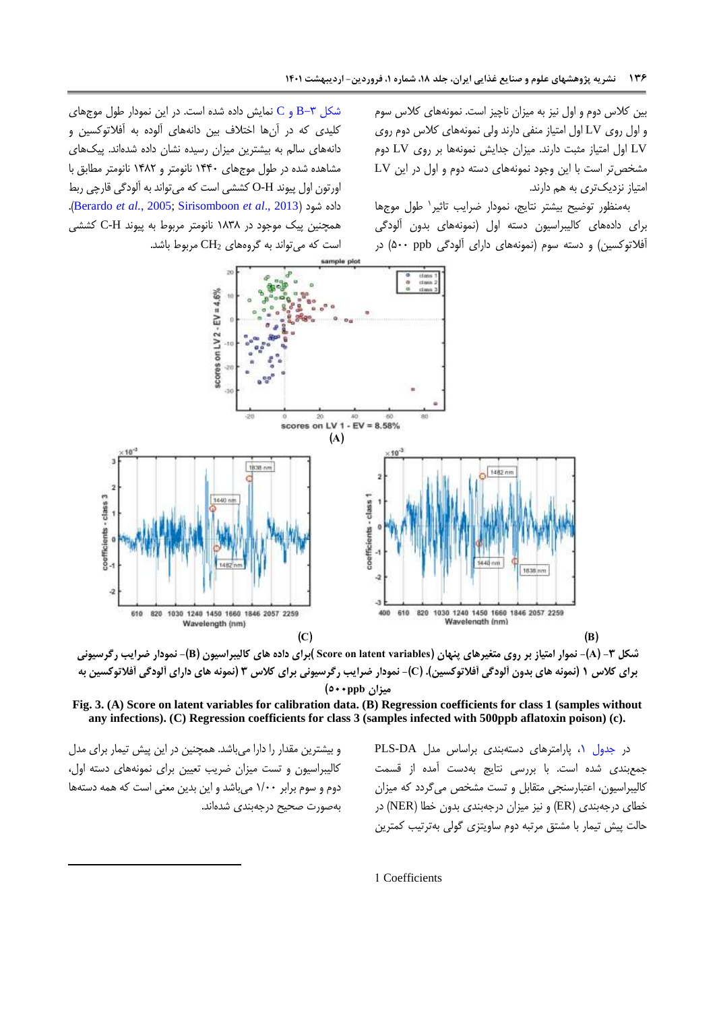بین کالس دوم و اول نیز به میزان ناچیز است. نمونههای کالس سوم و اول روی LV اول امتیاز منفی دارند ولی نمونههای کالس دوم روی LV اول امتیاز مثبت دارند. میزان جدایش نمونهها بر روی LV دوم مشخصتر است با این وجود نمونههای دسته دوم و اول در این LV امتیاز نزدیکتری به هم دارند.

4 بهمنظور توضیح بیشتر نتایج، نمودار ضرایب تاثیر طول موجها برای دادههای کالیبراسیون دسته اول )نمونههای بدون آلودگی آفالتوکسین( و دسته سوم )نمونههای دارای آلودگی ppb 022 )در

شکل  $\mathsf{S}-\mathsf{E}$  و  $\mathsf{C}$  نمایش داده شده است. در این نمودار طول موجهای کلیدی که در آنها اختالف بین دانههای آلوده به آفالتوکسین و دانههای سالم به بیشترین میزان رسیده نشان داده شدهاند. پیکهای مشاهده شده در طول موجهای 4002 نانومتر و 4090 نانومتر مطابق با اورتون اول پیوند H-O کششی است که میتواند به آلودگی قارچی ربط .)[Berardo](#page-8-0) *et al.*, 2005; [Sirisomboon](#page-9-3) *et al*., 2013[\(](#page-8-0) شود داده همچنین پیک موجود در 4939 نانومتر مربوط به پیوند H-C کششی است که میتواند به گروههای <sup>2</sup>CH مربوط باشد.



**شکل -3 )A)- نموار امتیاز بر روی متغیرهای پنهان )variables latent on Score) برای داده های کالیبراسیون )B)- نمودار ضرایب رگرسیونی برای کالس 1 )نمونه های بدون آلودگی آفالتوکسین(. )C)- نمودار ضرایب رگرسیونی برای کالس 3 )نمونه های دارای آلودگی آفالتوکسین به میزان ppb022)**

**Fig. 3. (A) Score on latent variables for calibration data. (B) Regression coefficients for class 1 (samples without any infections). (C) Regression coefficients for class 3 (samples infected with 500ppb aflatoxin poison) (c).**

و بیشترین مقدار را دارا میباشد. همچنین در این پیش تیمار برای مدل کالیبراسیون و تست میزان ضریب تعیین برای نمونههای دسته اول، دوم و سوم برابر 4/22 میباشد و این بدین معنی است که همه دستهها بهصورت صحیح درجهبندی شدهاند.

1

<span id="page-7-0"></span>در جدول ۰/ پارامترهای دستهبندی براساس مدل PLS-DA جمعبندی شده است. با بررسی نتایج بهدست آمده از قسمت کالیبراسیون، اعتبارسنجی متقابل و تست مشخص میگردد که میزان خطای درجهبندی )ER )و نیز میزان درجهبندی بدون خطا )NER )در حالت پیش تیمار با مشتق مرتبه دوم ساویتزی گولی بهترتیب کمترین

1 Coefficients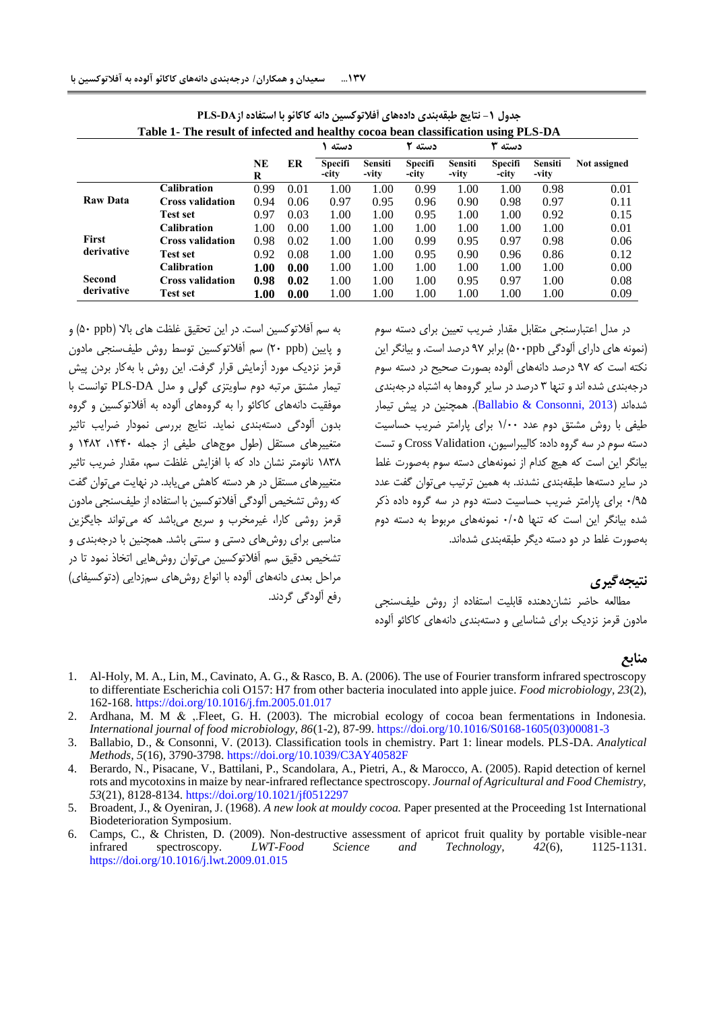| Table 1- The result of infected and healthy cocoa bean classification using PLS-DA |                         |                |      |                         |                  |                  |                         |                         |                         |              |
|------------------------------------------------------------------------------------|-------------------------|----------------|------|-------------------------|------------------|------------------|-------------------------|-------------------------|-------------------------|--------------|
|                                                                                    |                         |                |      | دسته                    |                  | دسته ۲           |                         | دسته ۳                  |                         |              |
|                                                                                    |                         | <b>NE</b><br>R | ER   | <b>Specifi</b><br>-city | Sensiti<br>-vity | Specifi<br>-city | <b>Sensiti</b><br>-vity | <b>Specifi</b><br>-city | <b>Sensiti</b><br>-vity | Not assigned |
| <b>Raw Data</b>                                                                    | <b>Calibration</b>      | 0.99           | 0.01 | 1.00                    | 1.00             | 0.99             | 1.00                    | 1.00                    | 0.98                    | 0.01         |
|                                                                                    | <b>Cross validation</b> | 0.94           | 0.06 | 0.97                    | 0.95             | 0.96             | 0.90                    | 0.98                    | 0.97                    | 0.11         |
|                                                                                    | <b>Test set</b>         | 0.97           | 0.03 | 1.00                    | 1.00             | 0.95             | 1.00                    | 1.00                    | 0.92                    | 0.15         |
| <b>First</b><br>derivative                                                         | <b>Calibration</b>      | 1.00           | 0.00 | 1.00                    | 1.00             | 1.00             | 1.00                    | 1.00                    | 1.00                    | 0.01         |
|                                                                                    | <b>Cross validation</b> | 0.98           | 0.02 | 1.00                    | 1.00             | 0.99             | 0.95                    | 0.97                    | 0.98                    | 0.06         |
|                                                                                    | <b>Test set</b>         | 0.92           | 0.08 | 1.00                    | 1.00             | 0.95             | 0.90                    | 0.96                    | 0.86                    | 0.12         |
| Second<br>derivative                                                               | <b>Calibration</b>      | 1.00           | 0.00 | 1.00                    | 1.00             | 1.00             | 1.00                    | 1.00                    | 1.00                    | 0.00         |
|                                                                                    | <b>Cross validation</b> | 0.98           | 0.02 | 1.00                    | 1.00             | 1.00             | 0.95                    | 0.97                    | 1.00                    | 0.08         |
|                                                                                    | <b>Test set</b>         | 1.00           | 0.00 | 1.00                    | 1.00             | 1.00             | 1.00                    | 1.00                    | 1.00                    | 0.09         |

| ً جدول 1− نتايج طبقهبندي دادههاي أفلاتوكسين دانه كاكائو با استفاده از PLS-DA       |  |
|------------------------------------------------------------------------------------|--|
| Table 1. The result of infected and healthy cocoa bean classification using PLS.DA |  |

به سم آفالتوکسین است. در این تحقیق غلظت های باال )ppb 02 )و و پایین )ppb 02 )سم آفالتوکسین توسط روش طیفسنجی مادون قرمز نزدیک مورد آزمایش قرار گرفت. این روش با بهکار بردن پیش تیمار مشتق مرتبه دوم ساویتزی گولی و مدل DA-PLS توانست با موفقیت دانههای کاکائو را به گروههای آلوده به آفالتوکسین و گروه بدون آلودگی دستهبندی نماید. نتایج بررسی نمودار ضرایب تاثیر متغییرهای مستقل )طول موجهای طیفی از جمله ،4002 4090 و 4939 نانومتر نشان داد که با افزایش غلظت سم، مقدار ضریب تاثیر متغییرهای مستقل در هر دسته کاهش مییابد. در نهایت میتوان گفت که روش تشخیص آلودگی آفالتوکسین با استفاده از طیفسنجی مادون قرمز روشی کارا، غیرمخرب و سریع میباشد که میتواند جایگزین مناسبی برای روشهای دستی و سنتی باشد. همچنین با درجهبندی و تشخیص دقیق سم آفالتوکسین میتوان روشهایی اتخاذ نمود تا در مراحل بعدی دانههای آلوده با انواع روشهای سمزدایی )دتوکسیفای( رفع آلودگی گردند. <span id="page-8-4"></span>در مدل اعتبارسنجی متقابل مقدار ضریب تعیین برای دسته سوم )نمونه های دارای آلودگی ppb022 )برابر 81 درصد است. و بیانگر این نکته است که 81 درصد دانههای آلوده بصورت صحیح در دسته سوم درجهبندی شده اند و تنها 3 درصد در سایر گروهها به اشتباه درجهبندی شدهاند )[2013 ,Consonni & Ballabio](#page-8-5)). همچنین در پیش تیمار طیفی با روش مشتق دوم عدد 4/22 برای پارامتر ضریب حساسیت دسته سوم در سه گروه داده: کالیبراسیون، Validation Cross و تست بیانگر این است که هیچ کدام از نمونههای دسته سوم بهصورت غلط در سایر دستهها طبقهبندی نشدند. به همین ترتیب میتوان گفت عدد 2/80 برای پارامتر ضریب حساسیت دسته دوم در سه گروه داده ذکر شده بیانگر این است که تنها 2/20 نمونههای مربوط به دسته دوم بهصورت غلط در دو دسته دیگر طبقهبندی شدهاند.

# **نتیجهگیری**

مطالعه حاضر نشاندهنده قابلیت استفاده از روش طیفسنجی مادون قرمز نزدیک برای شناسایی و دستهبندی دانههای کاکائو آلوده

### **منابع**

- 1. Al-Holy, M. A., Lin, M., Cavinato, A. G., & Rasco, B. A. (2006). The use of Fourier transform infrared spectroscopy to differentiate Escherichia coli O157: H7 from other bacteria inoculated into apple juice. *Food microbiology, 23*(2), 162-168.<https://doi.org/10.1016/j.fm.2005.01.017>
- <span id="page-8-2"></span>2. Ardhana, M. M & ,.Fleet, G. H. (2003). The microbial ecology of cocoa bean fermentations in Indonesia. *International journal of food microbiology, 86*(1-2), 87-99. [https://doi.org/10.1016/S0168-1605\(03\)00081-3](https://doi.org/10.1016/S0168-1605(03)00081-3)
- <span id="page-8-5"></span>3. Ballabio, D., & Consonni, V. (2013). Classification tools in chemistry. Part 1: linear models. PLS-DA. *Analytical Methods, 5*(16), 3790-3798.<https://doi.org/10.1039/C3AY40582F>
- <span id="page-8-0"></span>4. Berardo, N., Pisacane, V., Battilani, P., Scandolara, A., Pietri, A., & Marocco, A. (2005). Rapid detection of kernel rots and mycotoxins in maize by near-infrared reflectance spectroscopy. *Journal of Agricultural and Food Chemistry, 53*(21), 8128-8134[. https://doi.org/10.1021/jf0512297](https://doi.org/10.1021/jf0512297)
- <span id="page-8-1"></span>5. Broadent, J., & Oyeniran, J. (1968). *A new look at mouldy cocoa.* Paper presented at the Proceeding 1st International Biodeterioration Symposium.
- <span id="page-8-3"></span>6. Camps, C., & Christen, D. (2009). Non-destructive assessment of apricot fruit quality by portable visible-near infrared spectroscopy. *LWT-Food Science and Technology, 42*(6), 1125-1131. <https://doi.org/10.1016/j.lwt.2009.01.015>